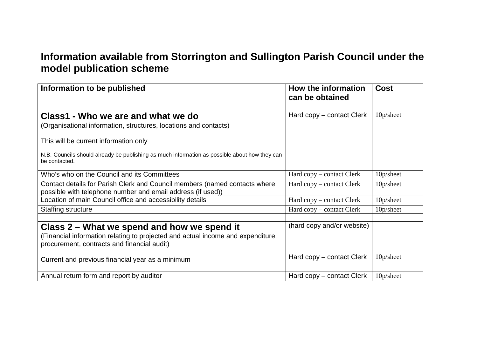## **Information available from Storrington and Sullington Parish Council under the model publication scheme**

| Information to be published                                                                                                                                                   | How the information<br>can be obtained | <b>Cost</b>  |
|-------------------------------------------------------------------------------------------------------------------------------------------------------------------------------|----------------------------------------|--------------|
| Class1 - Who we are and what we do<br>(Organisational information, structures, locations and contacts)                                                                        | Hard copy – contact Clerk              | 10p/sheet    |
| This will be current information only                                                                                                                                         |                                        |              |
| N.B. Councils should already be publishing as much information as possible about how they can<br>be contacted.                                                                |                                        |              |
| Who's who on the Council and its Committees                                                                                                                                   | Hard copy – contact Clerk              | 10p/sheet    |
| Contact details for Parish Clerk and Council members (named contacts where<br>possible with telephone number and email address (if used))                                     | Hard copy – contact Clerk              | 10p/sheet    |
| Location of main Council office and accessibility details                                                                                                                     | Hard copy – contact Clerk              | 10p/sheet    |
| <b>Staffing structure</b>                                                                                                                                                     | Hard copy – contact Clerk              | 10p/sheet    |
| Class 2 – What we spend and how we spend it<br>(Financial information relating to projected and actual income and expenditure,<br>procurement, contracts and financial audit) | (hard copy and/or website)             |              |
| Current and previous financial year as a minimum                                                                                                                              | Hard copy – contact Clerk              | $10p/s$ heet |
| Annual return form and report by auditor                                                                                                                                      | Hard copy – contact Clerk              | 10p/sheet    |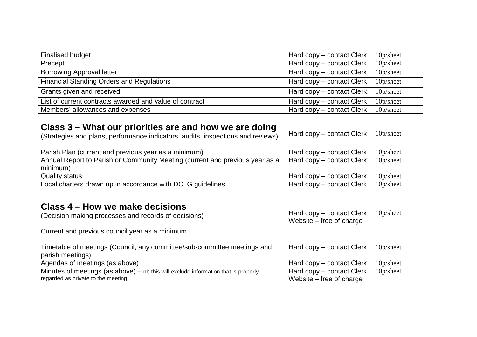| <b>Finalised budget</b>                                                                                                                   | Hard copy – contact Clerk  | 10p/sheet |
|-------------------------------------------------------------------------------------------------------------------------------------------|----------------------------|-----------|
| Precept                                                                                                                                   | Hard copy – contact Clerk  | 10p/sheet |
| <b>Borrowing Approval letter</b>                                                                                                          | Hard copy – contact Clerk  | 10p/sheet |
| <b>Financial Standing Orders and Regulations</b>                                                                                          | Hard copy - contact Clerk  | 10p/sheet |
| Grants given and received                                                                                                                 | Hard copy – contact Clerk  | 10p/sheet |
| List of current contracts awarded and value of contract                                                                                   | Hard copy - contact Clerk  | 10p/sheet |
| Members' allowances and expenses                                                                                                          | Hard copy - contact Clerk  | 10p/sheet |
|                                                                                                                                           |                            |           |
| Class 3 – What our priorities are and how we are doing<br>(Strategies and plans, performance indicators, audits, inspections and reviews) | Hard copy – contact Clerk  | 10p/sheet |
| Parish Plan (current and previous year as a minimum)                                                                                      | Hard copy – contact Clerk  | 10p/sheet |
| Annual Report to Parish or Community Meeting (current and previous year as a                                                              | Hard copy - contact Clerk  | 10p/sheet |
| minimum)                                                                                                                                  |                            |           |
| <b>Quality status</b>                                                                                                                     | Hard copy – contact Clerk  | 10p/sheet |
| Local charters drawn up in accordance with DCLG guidelines                                                                                | Hard copy – contact Clerk  | 10p/sheet |
|                                                                                                                                           |                            |           |
| Class 4 – How we make decisions                                                                                                           |                            |           |
| (Decision making processes and records of decisions)                                                                                      | Hard copy – contact Clerk  | 10p/sheet |
|                                                                                                                                           | Website $-$ free of charge |           |
| Current and previous council year as a minimum                                                                                            |                            |           |
|                                                                                                                                           |                            |           |
| Timetable of meetings (Council, any committee/sub-committee meetings and                                                                  | Hard copy – contact Clerk  | 10p/sheet |
| parish meetings)                                                                                                                          |                            |           |
| Agendas of meetings (as above)                                                                                                            | Hard copy – contact Clerk  | 10p/sheet |
| Minutes of meetings (as above) $-$ nb this will exclude information that is properly                                                      | Hard copy – contact Clerk  | 10p/sheet |
| regarded as private to the meeting.                                                                                                       | Website $-$ free of charge |           |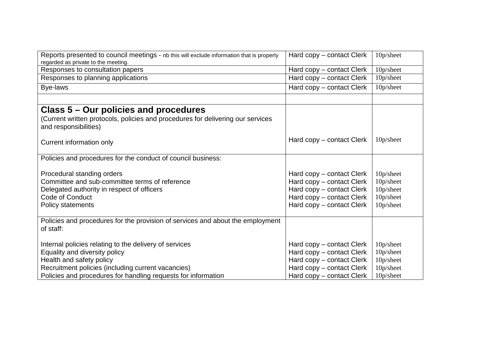| Reports presented to council meetings - nb this will exclude information that is properly<br>regarded as private to the meeting.                                                                                                           | Hard copy – contact Clerk                                                                                                                     | 10p/sheet                                                     |
|--------------------------------------------------------------------------------------------------------------------------------------------------------------------------------------------------------------------------------------------|-----------------------------------------------------------------------------------------------------------------------------------------------|---------------------------------------------------------------|
| Responses to consultation papers                                                                                                                                                                                                           | Hard copy – contact Clerk                                                                                                                     | 10p/sheet                                                     |
| Responses to planning applications                                                                                                                                                                                                         | Hard copy – contact Clerk                                                                                                                     | 10p/sheet                                                     |
| Bye-laws                                                                                                                                                                                                                                   | Hard copy – contact Clerk                                                                                                                     | 10p/sheet                                                     |
|                                                                                                                                                                                                                                            |                                                                                                                                               |                                                               |
| Class 5 – Our policies and procedures                                                                                                                                                                                                      |                                                                                                                                               |                                                               |
| (Current written protocols, policies and procedures for delivering our services<br>and responsibilities)                                                                                                                                   |                                                                                                                                               |                                                               |
| Current information only                                                                                                                                                                                                                   | Hard copy – contact Clerk                                                                                                                     | 10p/sheet                                                     |
| Policies and procedures for the conduct of council business:                                                                                                                                                                               |                                                                                                                                               |                                                               |
| Procedural standing orders<br>Committee and sub-committee terms of reference<br>Delegated authority in respect of officers<br>Code of Conduct<br><b>Policy statements</b>                                                                  | Hard copy – contact Clerk<br>Hard copy – contact Clerk<br>Hard copy – contact Clerk<br>Hard copy - contact Clerk<br>Hard copy - contact Clerk | 10p/sheet<br>10p/sheet<br>10p/sheet<br>10p/sheet<br>10p/sheet |
| Policies and procedures for the provision of services and about the employment<br>of staff:                                                                                                                                                |                                                                                                                                               |                                                               |
| Internal policies relating to the delivery of services<br>Equality and diversity policy<br>Health and safety policy<br>Recruitment policies (including current vacancies)<br>Policies and procedures for handling requests for information | Hard copy – contact Clerk<br>Hard copy - contact Clerk<br>Hard copy - contact Clerk<br>Hard copy - contact Clerk<br>Hard copy – contact Clerk | 10p/sheet<br>10p/sheet<br>10p/sheet<br>10p/sheet<br>10p/sheet |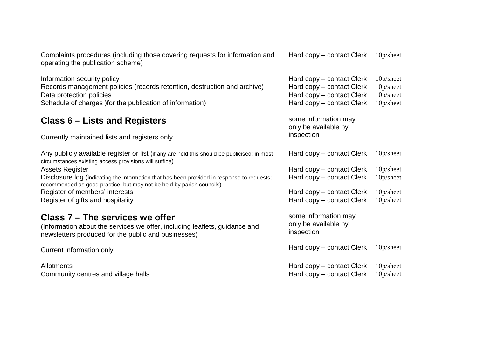| Complaints procedures (including those covering requests for information and                                                                                        | Hard copy – contact Clerk | 10p/sheet    |
|---------------------------------------------------------------------------------------------------------------------------------------------------------------------|---------------------------|--------------|
| operating the publication scheme)                                                                                                                                   |                           |              |
| Information security policy                                                                                                                                         | Hard copy - contact Clerk | 10p/sheet    |
| Records management policies (records retention, destruction and archive)                                                                                            | Hard copy – contact Clerk | 10p/sheet    |
| Data protection policies                                                                                                                                            | Hard copy - contact Clerk | 10p/sheet    |
| Schedule of charges ) for the publication of information)                                                                                                           | Hard copy – contact Clerk | 10p/sheet    |
|                                                                                                                                                                     |                           |              |
| <b>Class 6 – Lists and Registers</b>                                                                                                                                | some information may      |              |
|                                                                                                                                                                     | only be available by      |              |
| Currently maintained lists and registers only                                                                                                                       | inspection                |              |
|                                                                                                                                                                     |                           |              |
| Any publicly available register or list (if any are held this should be publicised; in most                                                                         | Hard copy – contact Clerk | 10p/sheet    |
| circumstances existing access provisions will suffice)                                                                                                              |                           |              |
| <b>Assets Register</b>                                                                                                                                              | Hard copy – contact Clerk | 10p/sheet    |
| Disclosure log (indicating the information that has been provided in response to requests;<br>recommended as good practice, but may not be held by parish councils) | Hard copy – contact Clerk | 10p/sheet    |
| Register of members' interests                                                                                                                                      | Hard copy – contact Clerk | 10p/sheet    |
| Register of gifts and hospitality                                                                                                                                   | Hard copy – contact Clerk | $10p/s$ heet |
|                                                                                                                                                                     |                           |              |
| Class 7 - The services we offer                                                                                                                                     | some information may      |              |
| (Information about the services we offer, including leaflets, guidance and                                                                                          | only be available by      |              |
| newsletters produced for the public and businesses)                                                                                                                 | inspection                |              |
|                                                                                                                                                                     |                           |              |
| Current information only                                                                                                                                            | Hard copy – contact Clerk | 10p/sheet    |
|                                                                                                                                                                     |                           |              |
| <b>Allotments</b>                                                                                                                                                   | Hard copy - contact Clerk | 10p/sheet    |
| Community centres and village halls                                                                                                                                 | Hard copy – contact Clerk | 10p/sheet    |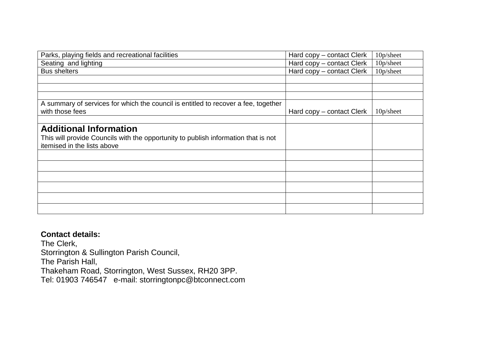| Parks, playing fields and recreational facilities                                  | Hard copy – contact Clerk | 10p/sheet |
|------------------------------------------------------------------------------------|---------------------------|-----------|
| Seating and lighting                                                               | Hard copy – contact Clerk | 10p/sheet |
| <b>Bus shelters</b>                                                                | Hard copy – contact Clerk | 10p/sheet |
|                                                                                    |                           |           |
|                                                                                    |                           |           |
|                                                                                    |                           |           |
| A summary of services for which the council is entitled to recover a fee, together |                           |           |
| with those fees                                                                    | Hard copy – contact Clerk | 10p/sheet |
|                                                                                    |                           |           |
| <b>Additional Information</b>                                                      |                           |           |
| This will provide Councils with the opportunity to publish information that is not |                           |           |
| itemised in the lists above                                                        |                           |           |
|                                                                                    |                           |           |
|                                                                                    |                           |           |
|                                                                                    |                           |           |
|                                                                                    |                           |           |
|                                                                                    |                           |           |
|                                                                                    |                           |           |
|                                                                                    |                           |           |
|                                                                                    |                           |           |

## **Contact details:**

The Clerk, Storrington & Sullington Parish Council, The Parish Hall, Thakeham Road, Storrington, West Sussex, RH20 3PP. Tel: 01903 746547 e-mail: storringtonpc@btconnect.com